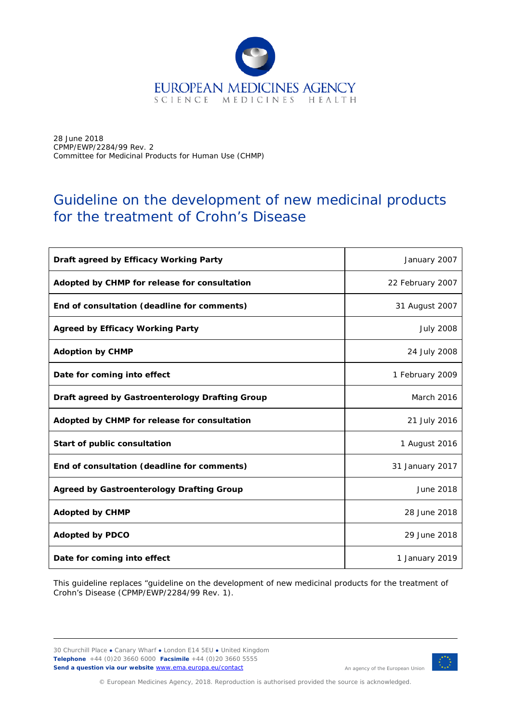

28 June 2018 CPMP/EWP/2284/99 Rev. 2 Committee for Medicinal Products for Human Use (CHMP)

# Guideline on the development of new medicinal products for the treatment of Crohn's Disease

| Draft agreed by Efficacy Working Party           | January 2007     |
|--------------------------------------------------|------------------|
| Adopted by CHMP for release for consultation     | 22 February 2007 |
| End of consultation (deadline for comments)      | 31 August 2007   |
| <b>Agreed by Efficacy Working Party</b>          | <b>July 2008</b> |
| <b>Adoption by CHMP</b>                          | 24 July 2008     |
| Date for coming into effect                      | 1 February 2009  |
| Draft agreed by Gastroenterology Drafting Group  | March 2016       |
| Adopted by CHMP for release for consultation     | 21 July 2016     |
| Start of public consultation                     | 1 August 2016    |
| End of consultation (deadline for comments)      | 31 January 2017  |
| <b>Agreed by Gastroenterology Drafting Group</b> | June 2018        |
| <b>Adopted by CHMP</b>                           | 28 June 2018     |
| <b>Adopted by PDCO</b>                           | 29 June 2018     |
| Date for coming into effect                      | 1 January 2019   |

This guideline replaces "guideline on the development of new medicinal products for the treatment of Crohn's Disease (CPMP/EWP/2284/99 Rev. 1).

30 Churchill Place **●** Canary Wharf **●** London E14 5EU **●** United Kingdom **Telephone** +44 (0)20 3660 6000 **Facsimile** +44 (0)20 3660 5555 **Send a question via our website** [www.ema.europa.eu/contact](http://www.ema.europa.eu/contact) 



© European Medicines Agency, 2018. Reproduction is authorised provided the source is acknowledged.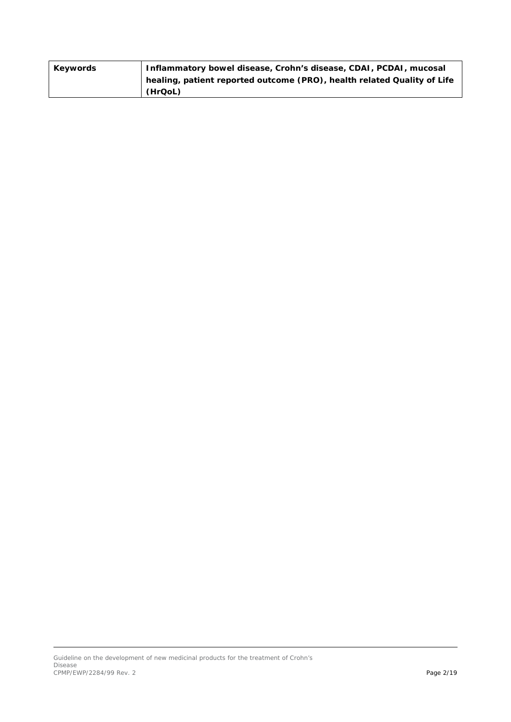| Keywords | Inflammatory bowel disease, Crohn's disease, CDAI, PCDAI, mucosal       |
|----------|-------------------------------------------------------------------------|
|          | healing, patient reported outcome (PRO), health related Quality of Life |
|          | (HrQoL)                                                                 |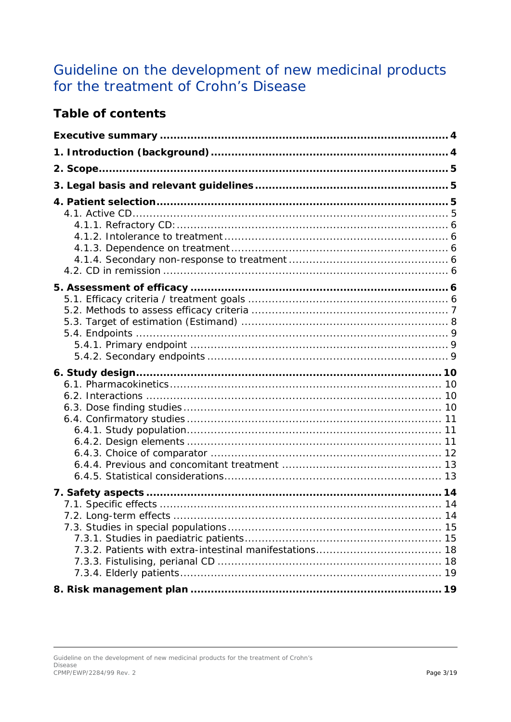# Guideline on the development of new medicinal products for the treatment of Crohn's Disease

## **Table of contents**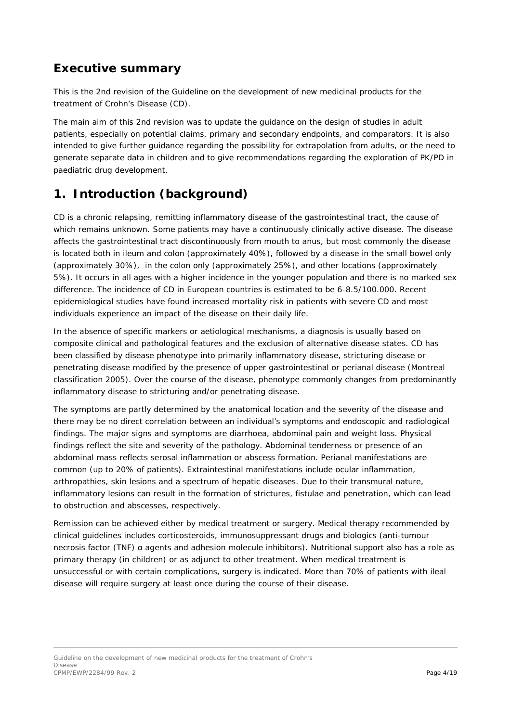## <span id="page-3-0"></span>**Executive summary**

This is the 2nd revision of the Guideline on the development of new medicinal products for the treatment of Crohn's Disease (CD).

The main aim of this 2nd revision was to update the guidance on the design of studies in adult patients, especially on potential claims, primary and secondary endpoints, and comparators. It is also intended to give further guidance regarding the possibility for extrapolation from adults, or the need to generate separate data in children and to give recommendations regarding the exploration of PK/PD in paediatric drug development.

## <span id="page-3-1"></span>**1. Introduction (background)**

CD is a chronic relapsing, remitting inflammatory disease of the gastrointestinal tract, the cause of which remains unknown. Some patients may have a continuously clinically active disease. The disease affects the gastrointestinal tract discontinuously from mouth to anus, but most commonly the disease is located both in ileum and colon (approximately 40%), followed by a disease in the small bowel only (approximately 30%), in the colon only (approximately 25%), and other locations (approximately 5%). It occurs in all ages with a higher incidence in the younger population and there is no marked sex difference. The incidence of CD in European countries is estimated to be 6-8.5/100.000. Recent epidemiological studies have found increased mortality risk in patients with severe CD and most individuals experience an impact of the disease on their daily life.

In the absence of specific markers or aetiological mechanisms, a diagnosis is usually based on composite clinical and pathological features and the exclusion of alternative disease states. CD has been classified by disease phenotype into primarily inflammatory disease, stricturing disease or penetrating disease modified by the presence of upper gastrointestinal or perianal disease (Montreal classification 2005). Over the course of the disease, phenotype commonly changes from predominantly inflammatory disease to stricturing and/or penetrating disease.

The symptoms are partly determined by the anatomical location and the severity of the disease and there may be no direct correlation between an individual's symptoms and endoscopic and radiological findings. The major signs and symptoms are diarrhoea, abdominal pain and weight loss. Physical findings reflect the site and severity of the pathology. Abdominal tenderness or presence of an abdominal mass reflects serosal inflammation or abscess formation. Perianal manifestations are common (up to 20% of patients). Extraintestinal manifestations include ocular inflammation, arthropathies, skin lesions and a spectrum of hepatic diseases. Due to their transmural nature, inflammatory lesions can result in the formation of strictures, fistulae and penetration, which can lead to obstruction and abscesses, respectively.

Remission can be achieved either by medical treatment or surgery. Medical therapy recommended by clinical guidelines includes corticosteroids, immunosuppressant drugs and biologics (anti-tumour necrosis factor (TNF) α agents and adhesion molecule inhibitors). Nutritional support also has a role as primary therapy (in children) or as adjunct to other treatment. When medical treatment is unsuccessful or with certain complications, surgery is indicated. More than 70% of patients with ileal disease will require surgery at least once during the course of their disease.

Guideline on the development of new medicinal products for the treatment of Crohn's Disease CPMP/EWP/2284/99 Rev. 2 Page 4/19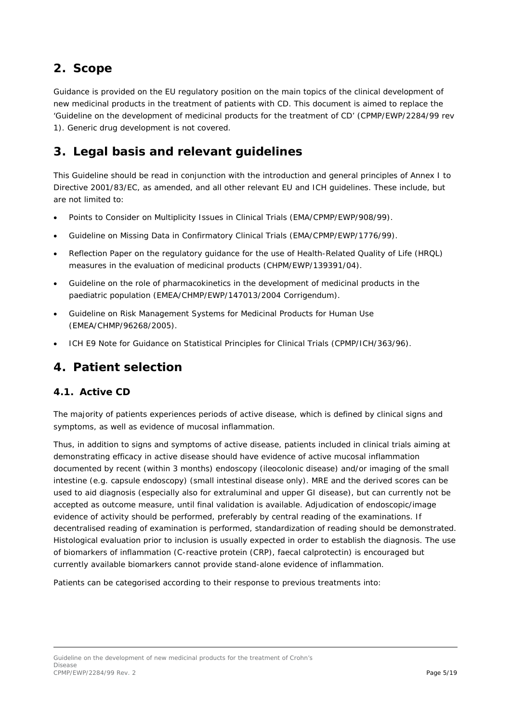## <span id="page-4-0"></span>**2. Scope**

Guidance is provided on the EU regulatory position on the main topics of the clinical development of new medicinal products in the treatment of patients with CD. This document is aimed to replace the 'Guideline on the development of medicinal products for the treatment of CD' (CPMP/EWP/2284/99 rev 1). Generic drug development is not covered.

## <span id="page-4-1"></span>**3. Legal basis and relevant guidelines**

This Guideline should be read in conjunction with the introduction and general principles of Annex I to Directive 2001/83/EC, as amended, and all other relevant EU and ICH guidelines. These include, but are not limited to:

- Points to Consider on Multiplicity Issues in Clinical Trials (EMA/CPMP/EWP/908/99).
- Guideline on Missing Data in Confirmatory Clinical Trials (EMA/CPMP/EWP/1776/99).
- Reflection Paper on the regulatory guidance for the use of Health-Related Quality of Life (HRQL) measures in the evaluation of medicinal products (CHPM/EWP/139391/04).
- Guideline on the role of pharmacokinetics in the development of medicinal products in the paediatric population (EMEA/CHMP/EWP/147013/2004 Corrigendum).
- Guideline on Risk Management Systems for Medicinal Products for Human Use (EMEA/CHMP/96268/2005).
- ICH E9 Note for Guidance on Statistical Principles for Clinical Trials (CPMP/ICH/363/96).

### <span id="page-4-2"></span>**4. Patient selection**

### <span id="page-4-3"></span>*4.1. Active CD*

The majority of patients experiences periods of active disease, which is defined by clinical signs and symptoms, as well as evidence of mucosal inflammation.

Thus, in addition to signs and symptoms of active disease, patients included in clinical trials aiming at demonstrating efficacy in active disease should have evidence of active mucosal inflammation documented by recent (within 3 months) endoscopy (ileocolonic disease) and/or imaging of the small intestine (e.g. capsule endoscopy) (small intestinal disease only). MRE and the derived scores can be used to aid diagnosis (especially also for extraluminal and upper GI disease), but can currently not be accepted as outcome measure, until final validation is available. Adjudication of endoscopic/image evidence of activity should be performed, preferably by central reading of the examinations. If decentralised reading of examination is performed, standardization of reading should be demonstrated. Histological evaluation prior to inclusion is usually expected in order to establish the diagnosis. The use of biomarkers of inflammation (C-reactive protein (CRP), faecal calprotectin) is encouraged but currently available biomarkers cannot provide stand-alone evidence of inflammation.

Patients can be categorised according to their response to previous treatments into:

Guideline on the development of new medicinal products for the treatment of Crohn's Disease CPMP/EWP/2284/99 Rev. 2 Page 5/19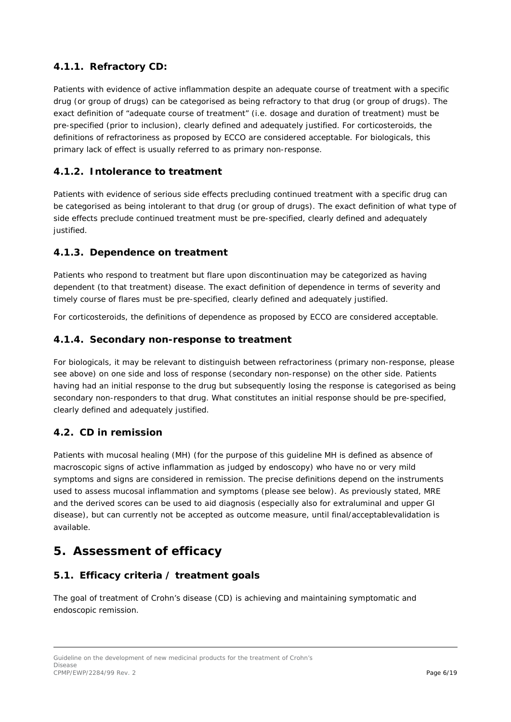### <span id="page-5-0"></span>**4.1.1. Refractory CD:**

Patients with evidence of active inflammation despite an adequate course of treatment with a specific drug (or group of drugs) can be categorised as being refractory to that drug (or group of drugs). The exact definition of "adequate course of treatment" (i.e. dosage and duration of treatment) must be pre-specified (prior to inclusion), clearly defined and adequately justified. For corticosteroids, the definitions of refractoriness as proposed by ECCO are considered acceptable. For biologicals, this primary lack of effect is usually referred to as primary non-response.

### <span id="page-5-1"></span>**4.1.2. Intolerance to treatment**

Patients with evidence of serious side effects precluding continued treatment with a specific drug can be categorised as being intolerant to that drug (or group of drugs). The exact definition of what type of side effects preclude continued treatment must be pre-specified, clearly defined and adequately justified.

### <span id="page-5-2"></span>**4.1.3. Dependence on treatment**

Patients who respond to treatment but flare upon discontinuation may be categorized as having dependent (to that treatment) disease. The exact definition of dependence in terms of severity and timely course of flares must be pre-specified, clearly defined and adequately justified.

For corticosteroids, the definitions of dependence as proposed by ECCO are considered acceptable.

#### <span id="page-5-3"></span>**4.1.4. Secondary non-response to treatment**

For biologicals, it may be relevant to distinguish between refractoriness (primary non-response, please see above) on one side and loss of response (secondary non-response) on the other side. Patients having had an initial response to the drug but subsequently losing the response is categorised as being secondary non-responders to that drug. What constitutes an initial response should be pre-specified, clearly defined and adequately justified.

### <span id="page-5-4"></span>*4.2. CD in remission*

Patients with mucosal healing (MH) (for the purpose of this guideline MH is defined as absence of macroscopic signs of active inflammation as judged by endoscopy) who have no or very mild symptoms and signs are considered in remission. The precise definitions depend on the instruments used to assess mucosal inflammation and symptoms (please see below). As previously stated, MRE and the derived scores can be used to aid diagnosis (especially also for extraluminal and upper GI disease), but can currently not be accepted as outcome measure, until final/acceptablevalidation is available.

### <span id="page-5-5"></span>**5. Assessment of efficacy**

### <span id="page-5-6"></span>*5.1. Efficacy criteria / treatment goals*

The goal of treatment of Crohn's disease (CD) is achieving and maintaining symptomatic and endoscopic remission.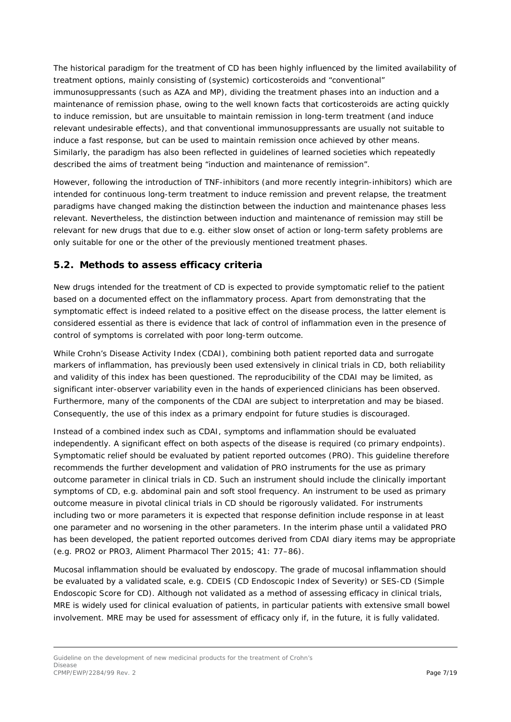The historical paradigm for the treatment of CD has been highly influenced by the limited availability of treatment options, mainly consisting of (systemic) corticosteroids and "conventional" immunosuppressants (such as AZA and MP), dividing the treatment phases into an induction and a maintenance of remission phase, owing to the well known facts that corticosteroids are acting quickly to induce remission, but are unsuitable to maintain remission in long-term treatment (and induce relevant undesirable effects), and that conventional immunosuppressants are usually not suitable to induce a fast response, but can be used to maintain remission once achieved by other means. Similarly, the paradigm has also been reflected in guidelines of learned societies which repeatedly described the aims of treatment being "induction and maintenance of remission".

However, following the introduction of TNF-inhibitors (and more recently integrin-inhibitors) which are intended for continuous long-term treatment to induce remission and prevent relapse, the treatment paradigms have changed making the distinction between the induction and maintenance phases less relevant. Nevertheless, the distinction between induction and maintenance of remission may still be relevant for new drugs that due to e.g. either slow onset of action or long-term safety problems are only suitable for one or the other of the previously mentioned treatment phases.

### <span id="page-6-0"></span>*5.2. Methods to assess efficacy criteria*

New drugs intended for the treatment of CD is expected to provide symptomatic relief to the patient based on a documented effect on the inflammatory process. Apart from demonstrating that the symptomatic effect is indeed related to a positive effect on the disease process, the latter element is considered essential as there is evidence that lack of control of inflammation even in the presence of control of symptoms is correlated with poor long-term outcome.

While Crohn's Disease Activity Index (CDAI), combining both patient reported data and surrogate markers of inflammation, has previously been used extensively in clinical trials in CD, both reliability and validity of this index has been questioned. The reproducibility of the CDAI may be limited, as significant inter-observer variability even in the hands of experienced clinicians has been observed. Furthermore, many of the components of the CDAI are subject to interpretation and may be biased. Consequently, the use of this index as a primary endpoint for future studies is discouraged.

Instead of a combined index such as CDAI, symptoms and inflammation should be evaluated independently. A significant effect on both aspects of the disease is required (co primary endpoints). Symptomatic relief should be evaluated by patient reported outcomes (PRO). This guideline therefore recommends the further development and validation of PRO instruments for the use as primary outcome parameter in clinical trials in CD. Such an instrument should include the clinically important symptoms of CD, e.g. abdominal pain and soft stool frequency. An instrument to be used as primary outcome measure in pivotal clinical trials in CD should be rigorously validated. For instruments including two or more parameters it is expected that response definition include response in at least one parameter and no worsening in the other parameters. In the interim phase until a validated PRO has been developed, the patient reported outcomes derived from CDAI diary items may be appropriate (e.g. PRO2 or PRO3, Aliment Pharmacol Ther 2015; 41: 77–86).

Mucosal inflammation should be evaluated by endoscopy. The grade of mucosal inflammation should be evaluated by a validated scale, e.g. CDEIS (CD Endoscopic Index of Severity) or SES-CD (Simple Endoscopic Score for CD). Although not validated as a method of assessing efficacy in clinical trials, MRE is widely used for clinical evaluation of patients, in particular patients with extensive small bowel involvement. MRE may be used for assessment of efficacy only if, in the future, it is fully validated.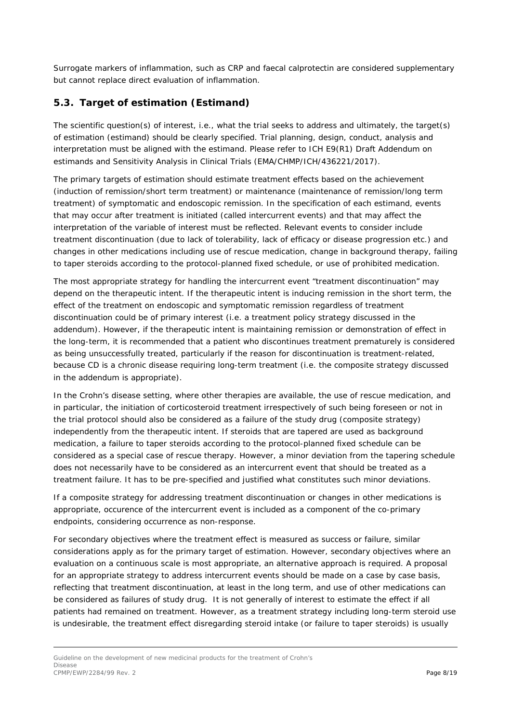Surrogate markers of inflammation, such as CRP and faecal calprotectin are considered supplementary but cannot replace direct evaluation of inflammation.

### <span id="page-7-0"></span>*5.3. Target of estimation (Estimand)*

The scientific question(s) of interest, i.e., what the trial seeks to address and ultimately, the target(s) of estimation (estimand) should be clearly specified. Trial planning, design, conduct, analysis and interpretation must be aligned with the estimand. Please refer to ICH E9(R1) Draft Addendum on estimands and Sensitivity Analysis in Clinical Trials (EMA/CHMP/ICH/436221/2017).

The primary targets of estimation should estimate treatment effects based on the achievement (induction of remission/short term treatment) or maintenance (maintenance of remission/long term treatment) of symptomatic and endoscopic remission. In the specification of each estimand, events that may occur after treatment is initiated (called intercurrent events) and that may affect the interpretation of the variable of interest must be reflected. Relevant events to consider include treatment discontinuation (due to lack of tolerability, lack of efficacy or disease progression etc.) and changes in other medications including use of rescue medication, change in background therapy, failing to taper steroids according to the protocol-planned fixed schedule, or use of prohibited medication.

The most appropriate strategy for handling the intercurrent event "treatment discontinuation" may depend on the therapeutic intent. If the therapeutic intent is inducing remission in the short term, the effect of the treatment on endoscopic and symptomatic remission regardless of treatment discontinuation could be of primary interest (i.e. a treatment policy strategy discussed in the addendum). However, if the therapeutic intent is maintaining remission or demonstration of effect in the long-term, it is recommended that a patient who discontinues treatment prematurely is considered as being unsuccessfully treated, particularly if the reason for discontinuation is treatment-related, because CD is a chronic disease requiring long-term treatment (i.e. the composite strategy discussed in the addendum is appropriate).

In the Crohn's disease setting, where other therapies are available, the use of rescue medication, and in particular, the initiation of corticosteroid treatment irrespectively of such being foreseen or not in the trial protocol should also be considered as a failure of the study drug (composite strategy) independently from the therapeutic intent. If steroids that are tapered are used as background medication, a failure to taper steroids according to the protocol-planned fixed schedule can be considered as a special case of rescue therapy. However, a minor deviation from the tapering schedule does not necessarily have to be considered as an intercurrent event that should be treated as a treatment failure. It has to be pre-specified and justified what constitutes such minor deviations.

If a composite strategy for addressing treatment discontinuation or changes in other medications is appropriate, occurence of the intercurrent event is included as a component of the co-primary endpoints, considering occurrence as non-response.

For secondary objectives where the treatment effect is measured as success or failure, similar considerations apply as for the primary target of estimation. However, secondary objectives where an evaluation on a continuous scale is most appropriate, an alternative approach is required. A proposal for an appropriate strategy to address intercurrent events should be made on a case by case basis, reflecting that treatment discontinuation, at least in the long term, and use of other medications can be considered as failures of study drug. It is not generally of interest to estimate the effect if all patients had remained on treatment. However, as a treatment strategy including long-term steroid use is undesirable, the treatment effect disregarding steroid intake (or failure to taper steroids) is usually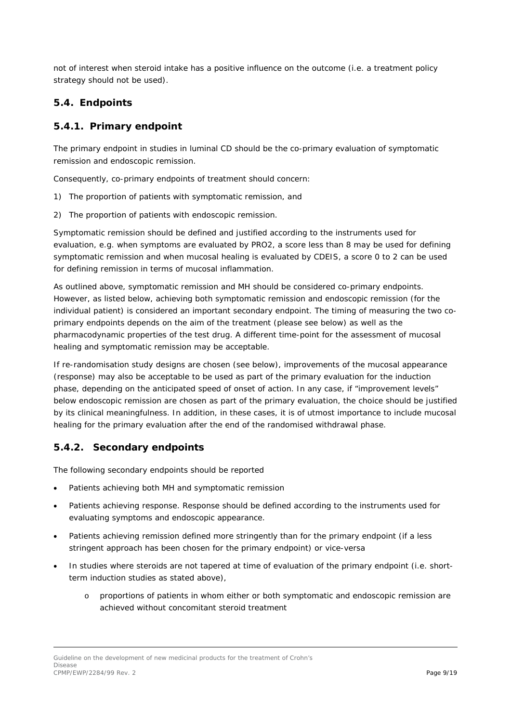not of interest when steroid intake has a positive influence on the outcome (i.e. a treatment policy strategy should not be used).

### <span id="page-8-0"></span>*5.4. Endpoints*

#### <span id="page-8-1"></span>**5.4.1. Primary endpoint**

The primary endpoint in studies in luminal CD should be the co-primary evaluation of symptomatic remission and endoscopic remission.

Consequently, co-primary endpoints of treatment should concern:

- 1) The proportion of patients with symptomatic remission, and
- 2) The proportion of patients with endoscopic remission.

Symptomatic remission should be defined and justified according to the instruments used for evaluation, e.g. when symptoms are evaluated by PRO2, a score less than 8 may be used for defining symptomatic remission and when mucosal healing is evaluated by CDEIS, a score 0 to 2 can be used for defining remission in terms of mucosal inflammation.

As outlined above, symptomatic remission and MH should be considered co-primary endpoints. However, as listed below, achieving both symptomatic remission and endoscopic remission (for the individual patient) is considered an important secondary endpoint. The timing of measuring the two coprimary endpoints depends on the aim of the treatment (please see below) as well as the pharmacodynamic properties of the test drug. A different time-point for the assessment of mucosal healing and symptomatic remission may be acceptable.

If re-randomisation study designs are chosen (see below), improvements of the mucosal appearance (response) may also be acceptable to be used as part of the primary evaluation for the induction phase, depending on the anticipated speed of onset of action. In any case, if "improvement levels" below endoscopic remission are chosen as part of the primary evaluation, the choice should be justified by its clinical meaningfulness. In addition, in these cases, it is of utmost importance to include mucosal healing for the primary evaluation after the end of the randomised withdrawal phase.

#### <span id="page-8-2"></span>**5.4.2. Secondary endpoints**

The following secondary endpoints should be reported

- Patients achieving both MH and symptomatic remission
- Patients achieving response. Response should be defined according to the instruments used for evaluating symptoms and endoscopic appearance.
- Patients achieving remission defined more stringently than for the primary endpoint (if a less stringent approach has been chosen for the primary endpoint) or vice-versa
- In studies where steroids are not tapered at time of evaluation of the primary endpoint (i.e. shortterm induction studies as stated above),
	- o proportions of patients in whom either or both symptomatic and endoscopic remission are achieved without concomitant steroid treatment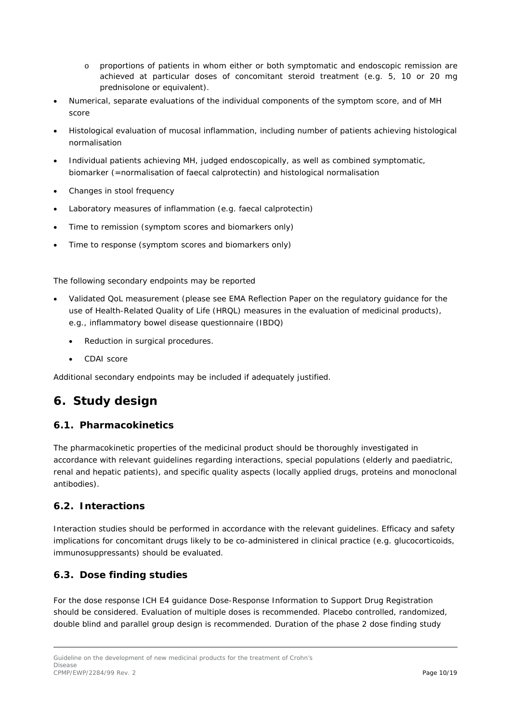- o proportions of patients in whom either or both symptomatic and endoscopic remission are achieved at particular doses of concomitant steroid treatment (e.g. 5, 10 or 20 mg prednisolone or equivalent).
- Numerical, separate evaluations of the individual components of the symptom score, and of MH score
- Histological evaluation of mucosal inflammation, including number of patients achieving histological normalisation
- Individual patients achieving MH, judged endoscopically, as well as combined symptomatic, biomarker (=normalisation of faecal calprotectin) and histological normalisation
- Changes in stool frequency
- Laboratory measures of inflammation (e.g. faecal calprotectin)
- Time to remission (symptom scores and biomarkers only)
- Time to response (symptom scores and biomarkers only)

The following secondary endpoints may be reported

- Validated QoL measurement (please see EMA Reflection Paper on the regulatory guidance for the use of Health-Related Quality of Life (HRQL) measures in the evaluation of medicinal products), e.g., inflammatory bowel disease questionnaire (IBDQ)
	- Reduction in surgical procedures.
	- CDAI score

Additional secondary endpoints may be included if adequately justified.

## <span id="page-9-0"></span>**6. Study design**

#### <span id="page-9-1"></span>*6.1. Pharmacokinetics*

The pharmacokinetic properties of the medicinal product should be thoroughly investigated in accordance with relevant guidelines regarding interactions, special populations (elderly and paediatric, renal and hepatic patients), and specific quality aspects (locally applied drugs, proteins and monoclonal antibodies).

#### <span id="page-9-2"></span>*6.2. Interactions*

Interaction studies should be performed in accordance with the relevant guidelines. Efficacy and safety implications for concomitant drugs likely to be co-administered in clinical practice (e.g. glucocorticoids, immunosuppressants) should be evaluated.

#### <span id="page-9-3"></span>*6.3. Dose finding studies*

For the dose response ICH E4 guidance Dose-Response Information to Support Drug Registration should be considered. Evaluation of multiple doses is recommended. Placebo controlled, randomized, double blind and parallel group design is recommended. Duration of the phase 2 dose finding study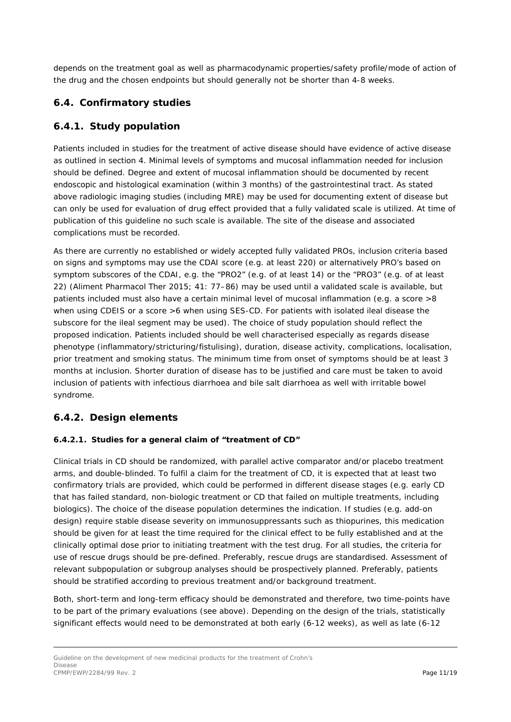depends on the treatment goal as well as pharmacodynamic properties/safety profile/mode of action of the drug and the chosen endpoints but should generally not be shorter than 4-8 weeks.

### <span id="page-10-0"></span>*6.4. Confirmatory studies*

### <span id="page-10-1"></span>**6.4.1. Study population**

Patients included in studies for the treatment of active disease should have evidence of active disease as outlined in section 4. Minimal levels of symptoms and mucosal inflammation needed for inclusion should be defined. Degree and extent of mucosal inflammation should be documented by recent endoscopic and histological examination (within 3 months) of the gastrointestinal tract. As stated above radiologic imaging studies (including MRE) may be used for documenting extent of disease but can only be used for evaluation of drug effect provided that a fully validated scale is utilized. At time of publication of this guideline no such scale is available. The site of the disease and associated complications must be recorded.

As there are currently no established or widely accepted fully validated PROs, inclusion criteria based on signs and symptoms may use the CDAI score (e.g. at least 220) or alternatively PRO's based on symptom subscores of the CDAI, e.g. the "PRO2" (e.g. of at least 14) or the "PRO3" (e.g. of at least 22) (Aliment Pharmacol Ther 2015; 41: 77–86) may be used until a validated scale is available, but patients included must also have a certain minimal level of mucosal inflammation (e.g. a score >8 when using CDEIS or a score >6 when using SES-CD. For patients with isolated ileal disease the subscore for the ileal segment may be used). The choice of study population should reflect the proposed indication. Patients included should be well characterised especially as regards disease phenotype (inflammatory/stricturing/fistulising), duration, disease activity, complications, localisation, prior treatment and smoking status. The minimum time from onset of symptoms should be at least 3 months at inclusion. Shorter duration of disease has to be justified and care must be taken to avoid inclusion of patients with infectious diarrhoea and bile salt diarrhoea as well with irritable bowel syndrome.

#### <span id="page-10-2"></span>**6.4.2. Design elements**

#### *6.4.2.1. Studies for a general claim of "treatment of CD"*

Clinical trials in CD should be randomized, with parallel active comparator and/or placebo treatment arms, and double-blinded. To fulfil a claim for the treatment of CD, it is expected that at least two confirmatory trials are provided, which could be performed in different disease stages (e.g. early CD that has failed standard, non-biologic treatment or CD that failed on multiple treatments, including biologics). The choice of the disease population determines the indication. If studies (e.g. add-on design) require stable disease severity on immunosuppressants such as thiopurines, this medication should be given for at least the time required for the clinical effect to be fully established and at the clinically optimal dose prior to initiating treatment with the test drug. For all studies, the criteria for use of rescue drugs should be pre-defined. Preferably, rescue drugs are standardised. Assessment of relevant subpopulation or subgroup analyses should be prospectively planned. Preferably, patients should be stratified according to previous treatment and/or background treatment.

Both, short-term and long-term efficacy should be demonstrated and therefore, two time-points have to be part of the primary evaluations (see above). Depending on the design of the trials, statistically significant effects would need to be demonstrated at both early (6-12 weeks), as well as late (6-12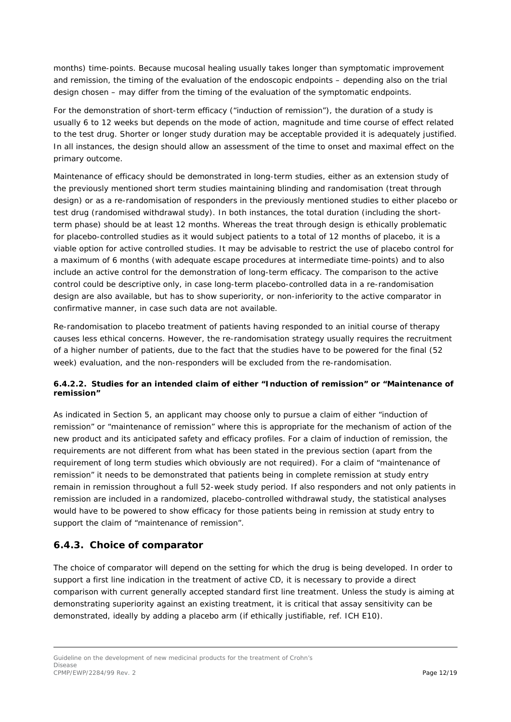months) time-points. Because mucosal healing usually takes longer than symptomatic improvement and remission, the timing of the evaluation of the endoscopic endpoints – depending also on the trial design chosen – may differ from the timing of the evaluation of the symptomatic endpoints.

For the demonstration of short-term efficacy ("induction of remission"), the duration of a study is usually 6 to 12 weeks but depends on the mode of action, magnitude and time course of effect related to the test drug. Shorter or longer study duration may be acceptable provided it is adequately justified. In all instances, the design should allow an assessment of the time to onset and maximal effect on the primary outcome.

Maintenance of efficacy should be demonstrated in long-term studies, either as an extension study of the previously mentioned short term studies maintaining blinding and randomisation (treat through design) or as a re-randomisation of responders in the previously mentioned studies to either placebo or test drug (randomised withdrawal study). In both instances, the total duration (including the shortterm phase) should be at least 12 months. Whereas the treat through design is ethically problematic for placebo-controlled studies as it would subject patients to a total of 12 months of placebo, it is a viable option for active controlled studies. It may be advisable to restrict the use of placebo control for a maximum of 6 months (with adequate escape procedures at intermediate time-points) and to also include an active control for the demonstration of long-term efficacy. The comparison to the active control could be descriptive only, in case long-term placebo-controlled data in a re-randomisation design are also available, but has to show superiority, or non-inferiority to the active comparator in confirmative manner, in case such data are not available.

Re-randomisation to placebo treatment of patients having responded to an initial course of therapy causes less ethical concerns. However, the re-randomisation strategy usually requires the recruitment of a higher number of patients, due to the fact that the studies have to be powered for the final (52 week) evaluation, and the non-responders will be excluded from the re-randomisation.

#### *6.4.2.2. Studies for an intended claim of either "Induction of remission" or "Maintenance of remission"*

As indicated in Section 5, an applicant may choose only to pursue a claim of either "induction of remission" or "maintenance of remission" where this is appropriate for the mechanism of action of the new product and its anticipated safety and efficacy profiles. For a claim of induction of remission, the requirements are not different from what has been stated in the previous section (apart from the requirement of long term studies which obviously are not required). For a claim of "maintenance of remission" it needs to be demonstrated that patients being in complete remission at study entry remain in remission throughout a full 52-week study period. If also responders and not only patients in remission are included in a randomized, placebo-controlled withdrawal study, the statistical analyses would have to be powered to show efficacy for those patients being in remission at study entry to support the claim of "maintenance of remission".

#### <span id="page-11-0"></span>**6.4.3. Choice of comparator**

The choice of comparator will depend on the setting for which the drug is being developed. In order to support a first line indication in the treatment of active CD, it is necessary to provide a direct comparison with current generally accepted standard first line treatment. Unless the study is aiming at demonstrating superiority against an existing treatment, it is critical that assay sensitivity can be demonstrated, ideally by adding a placebo arm (if ethically justifiable, ref. ICH E10).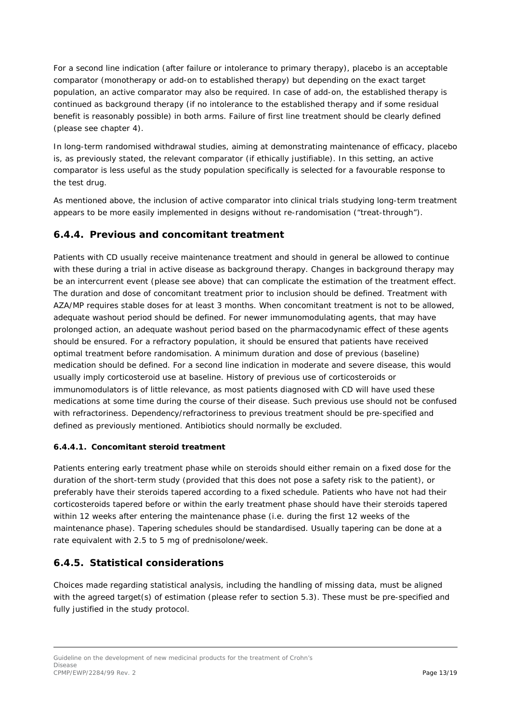For a second line indication (after failure or intolerance to primary therapy), placebo is an acceptable comparator (monotherapy or add-on to established therapy) but depending on the exact target population, an active comparator may also be required. In case of add-on, the established therapy is continued as background therapy (if no intolerance to the established therapy and if some residual benefit is reasonably possible) in both arms. Failure of first line treatment should be clearly defined (please see chapter 4).

In long-term randomised withdrawal studies, aiming at demonstrating maintenance of efficacy, placebo is, as previously stated, the relevant comparator (if ethically justifiable). In this setting, an active comparator is less useful as the study population specifically is selected for a favourable response to the test drug.

As mentioned above, the inclusion of active comparator into clinical trials studying long-term treatment appears to be more easily implemented in designs without re-randomisation ("treat-through").

### <span id="page-12-0"></span>**6.4.4. Previous and concomitant treatment**

Patients with CD usually receive maintenance treatment and should in general be allowed to continue with these during a trial in active disease as background therapy. Changes in background therapy may be an intercurrent event (please see above) that can complicate the estimation of the treatment effect. The duration and dose of concomitant treatment prior to inclusion should be defined. Treatment with AZA/MP requires stable doses for at least 3 months. When concomitant treatment is not to be allowed, adequate washout period should be defined. For newer immunomodulating agents, that may have prolonged action, an adequate washout period based on the pharmacodynamic effect of these agents should be ensured. For a refractory population, it should be ensured that patients have received optimal treatment before randomisation. A minimum duration and dose of previous (baseline) medication should be defined. For a second line indication in moderate and severe disease, this would usually imply corticosteroid use at baseline. History of previous use of corticosteroids or immunomodulators is of little relevance, as most patients diagnosed with CD will have used these medications at some time during the course of their disease. Such previous use should not be confused with refractoriness. Dependency/refractoriness to previous treatment should be pre-specified and defined as previously mentioned. Antibiotics should normally be excluded.

#### *6.4.4.1. Concomitant steroid treatment*

Patients entering early treatment phase while on steroids should either remain on a fixed dose for the duration of the short-term study (provided that this does not pose a safety risk to the patient), or preferably have their steroids tapered according to a fixed schedule. Patients who have not had their corticosteroids tapered before or within the early treatment phase should have their steroids tapered within 12 weeks after entering the maintenance phase (i.e. during the first 12 weeks of the maintenance phase). Tapering schedules should be standardised. Usually tapering can be done at a rate equivalent with 2.5 to 5 mg of prednisolone/week.

### <span id="page-12-1"></span>**6.4.5. Statistical considerations**

Choices made regarding statistical analysis, including the handling of missing data, must be aligned with the agreed target(s) of estimation (please refer to section 5.3). These must be pre-specified and fully justified in the study protocol.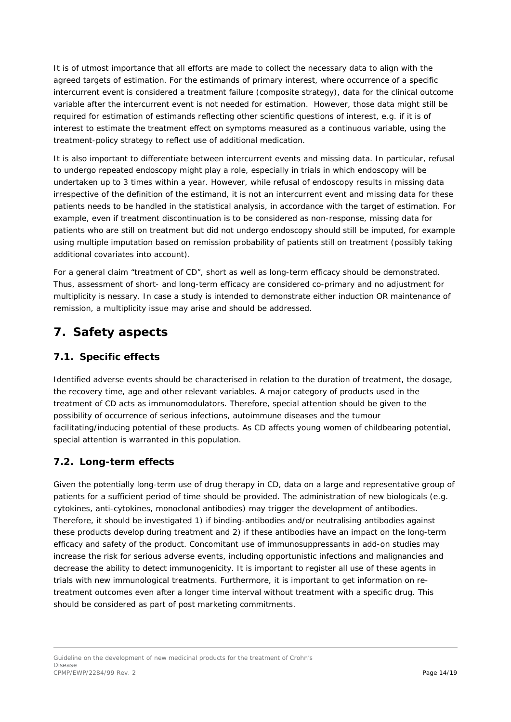It is of utmost importance that all efforts are made to collect the necessary data to align with the agreed targets of estimation. For the estimands of primary interest, where occurrence of a specific intercurrent event is considered a treatment failure (composite strategy), data for the clinical outcome variable after the intercurrent event is not needed for estimation. However, those data might still be required for estimation of estimands reflecting other scientific questions of interest, e.g. if it is of interest to estimate the treatment effect on symptoms measured as a continuous variable, using the treatment-policy strategy to reflect use of additional medication.

It is also important to differentiate between intercurrent events and missing data. In particular, refusal to undergo repeated endoscopy might play a role, especially in trials in which endoscopy will be undertaken up to 3 times within a year. However, while refusal of endoscopy results in missing data irrespective of the definition of the estimand, it is not an intercurrent event and missing data for these patients needs to be handled in the statistical analysis, in accordance with the target of estimation. For example, even if treatment discontinuation is to be considered as non-response, missing data for patients who are still on treatment but did not undergo endoscopy should still be imputed, for example using multiple imputation based on remission probability of patients still on treatment (possibly taking additional covariates into account).

For a general claim "treatment of CD", short as well as long-term efficacy should be demonstrated. Thus, assessment of short- and long-term efficacy are considered co-primary and no adjustment for multiplicity is nessary. In case a study is intended to demonstrate either induction OR maintenance of remission, a multiplicity issue may arise and should be addressed.

## <span id="page-13-0"></span>**7. Safety aspects**

### <span id="page-13-1"></span>*7.1. Specific effects*

Identified adverse events should be characterised in relation to the duration of treatment, the dosage, the recovery time, age and other relevant variables. A major category of products used in the treatment of CD acts as immunomodulators. Therefore, special attention should be given to the possibility of occurrence of serious infections, autoimmune diseases and the tumour facilitating/inducing potential of these products. As CD affects young women of childbearing potential, special attention is warranted in this population.

### <span id="page-13-2"></span>*7.2. Long-term effects*

Given the potentially long-term use of drug therapy in CD, data on a large and representative group of patients for a sufficient period of time should be provided. The administration of new biologicals (e.g. cytokines, anti-cytokines, monoclonal antibodies) may trigger the development of antibodies. Therefore, it should be investigated 1) if binding-antibodies and/or neutralising antibodies against these products develop during treatment and 2) if these antibodies have an impact on the long-term efficacy and safety of the product. Concomitant use of immunosuppressants in add-on studies may increase the risk for serious adverse events, including opportunistic infections and malignancies and decrease the ability to detect immunogenicity. It is important to register all use of these agents in trials with new immunological treatments. Furthermore, it is important to get information on retreatment outcomes even after a longer time interval without treatment with a specific drug. This should be considered as part of post marketing commitments.

Guideline on the development of new medicinal products for the treatment of Crohn's Disease CPMP/EWP/2284/99 Rev. 2 **Page 14/19**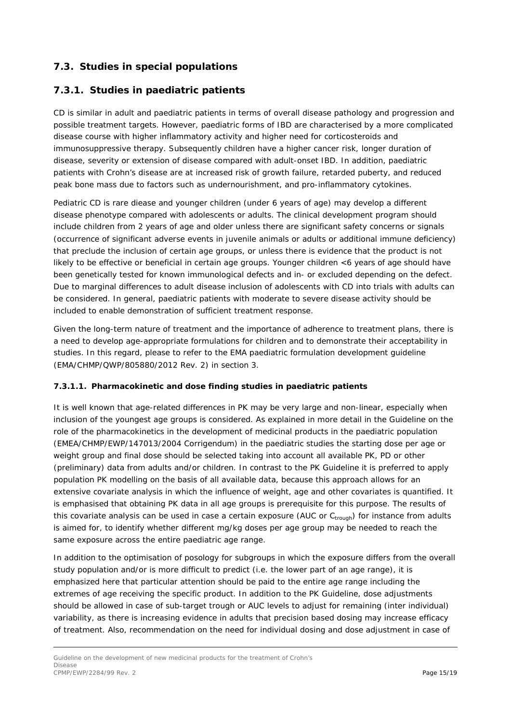### <span id="page-14-0"></span>*7.3. Studies in special populations*

#### <span id="page-14-1"></span>**7.3.1. Studies in paediatric patients**

CD is similar in adult and paediatric patients in terms of overall disease pathology and progression and possible treatment targets. However, paediatric forms of IBD are characterised by a more complicated disease course with higher inflammatory activity and higher need for corticosteroids and immunosuppressive therapy. Subsequently children have a higher cancer risk, longer duration of disease, severity or extension of disease compared with adult-onset IBD. In addition, paediatric patients with Crohn's disease are at increased risk of growth failure, retarded puberty, and reduced peak bone mass due to factors such as undernourishment, and pro-inflammatory cytokines.

Pediatric CD is rare diease and younger children (under 6 years of age) may develop a different disease phenotype compared with adolescents or adults. The clinical development program should include children from 2 years of age and older unless there are significant safety concerns or signals (occurrence of significant adverse events in juvenile animals or adults or additional immune deficiency) that preclude the inclusion of certain age groups, or unless there is evidence that the product is not likely to be effective or beneficial in certain age groups. Younger children <6 years of age should have been genetically tested for known immunological defects and in- or excluded depending on the defect. Due to marginal differences to adult disease inclusion of adolescents with CD into trials with adults can be considered. In general, paediatric patients with moderate to severe disease activity should be included to enable demonstration of sufficient treatment response.

Given the long-term nature of treatment and the importance of adherence to treatment plans, there is a need to develop age-appropriate formulations for children and to demonstrate their acceptability in studies. In this regard, please to refer to the EMA paediatric formulation development guideline (EMA/CHMP/QWP/805880/2012 Rev. 2) in section 3.

#### *7.3.1.1. Pharmacokinetic and dose finding studies in paediatric patients*

It is well known that age-related differences in PK may be very large and non-linear, especially when inclusion of the youngest age groups is considered. As explained in more detail in the Guideline on the role of the pharmacokinetics in the development of medicinal products in the paediatric population (EMEA/CHMP/EWP/147013/2004 Corrigendum) in the paediatric studies the starting dose per age or weight group and final dose should be selected taking into account all available PK, PD or other (preliminary) data from adults and/or children. In contrast to the PK Guideline it is preferred to apply population PK modelling on the basis of all available data, because this approach allows for an extensive covariate analysis in which the influence of weight, age and other covariates is quantified. It is emphasised that obtaining PK data in all age groups is prerequisite for this purpose. The results of this covariate analysis can be used in case a certain exposure (AUC or  $C_{trough}$ ) for instance from adults is aimed for, to identify whether different mg/kg doses per age group may be needed to reach the same exposure across the entire paediatric age range.

In addition to the optimisation of posology for subgroups in which the exposure differs from the overall study population and/or is more difficult to predict (i.e. the lower part of an age range), it is emphasized here that particular attention should be paid to the entire age range including the extremes of age receiving the specific product. In addition to the PK Guideline, dose adjustments should be allowed in case of sub-target trough or AUC levels to adjust for remaining (inter individual) variability, as there is increasing evidence in adults that precision based dosing may increase efficacy of treatment. Also, recommendation on the need for individual dosing and dose adjustment in case of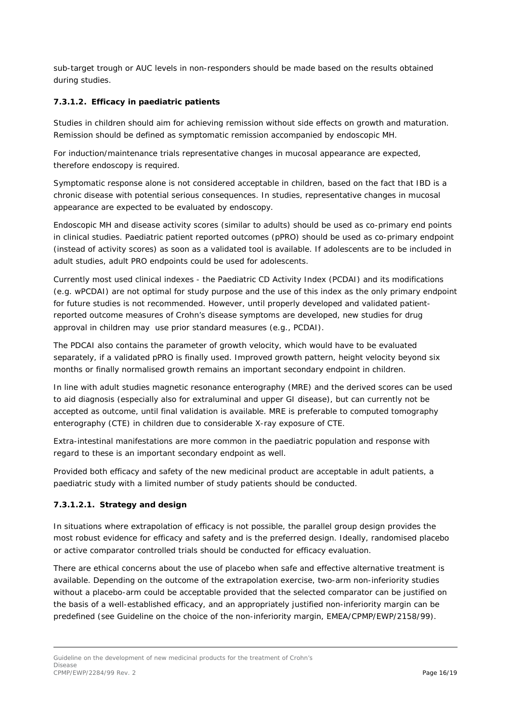sub-target trough or AUC levels in non-responders should be made based on the results obtained during studies.

#### *7.3.1.2. Efficacy in paediatric patients*

Studies in children should aim for achieving remission without side effects on growth and maturation. Remission should be defined as symptomatic remission accompanied by endoscopic MH.

For induction/maintenance trials representative changes in mucosal appearance are expected, therefore endoscopy is required.

Symptomatic response alone is not considered acceptable in children, based on the fact that IBD is a chronic disease with potential serious consequences. In studies, representative changes in mucosal appearance are expected to be evaluated by endoscopy.

Endoscopic MH and disease activity scores (similar to adults) should be used as co-primary end points in clinical studies. Paediatric patient reported outcomes (pPRO) should be used as co-primary endpoint (instead of activity scores) as soon as a validated tool is available. If adolescents are to be included in adult studies, adult PRO endpoints could be used for adolescents.

Currently most used clinical indexes - the Paediatric CD Activity Index (PCDAI) and its modifications (e.g. wPCDAI) are not optimal for study purpose and the use of this index as the only primary endpoint for future studies is not recommended. However, until properly developed and validated patientreported outcome measures of Crohn's disease symptoms are developed, new studies for drug approval in children may use prior standard measures (e.g., PCDAI).

The PDCAI also contains the parameter of growth velocity, which would have to be evaluated separately, if a validated pPRO is finally used. Improved growth pattern, height velocity beyond six months or finally normalised growth remains an important secondary endpoint in children.

In line with adult studies magnetic resonance enterography (MRE) and the derived scores can be used to aid diagnosis (especially also for extraluminal and upper GI disease), but can currently not be accepted as outcome, until final validation is available. MRE is preferable to computed tomography enterography (CTE) in children due to considerable X-ray exposure of CTE.

Extra-intestinal manifestations are more common in the paediatric population and response with regard to these is an important secondary endpoint as well.

Provided both efficacy and safety of the new medicinal product are acceptable in adult patients, a paediatric study with a limited number of study patients should be conducted.

#### **7.3.1.2.1. Strategy and design**

In situations where extrapolation of efficacy is not possible, the parallel group design provides the most robust evidence for efficacy and safety and is the preferred design. Ideally, randomised placebo or active comparator controlled trials should be conducted for efficacy evaluation.

There are ethical concerns about the use of placebo when safe and effective alternative treatment is available. Depending on the outcome of the extrapolation exercise, two-arm non-inferiority studies without a placebo-arm could be acceptable provided that the selected comparator can be justified on the basis of a well-established efficacy, and an appropriately justified non-inferiority margin can be predefined (see Guideline on the choice of the non-inferiority margin, EMEA/CPMP/EWP/2158/99).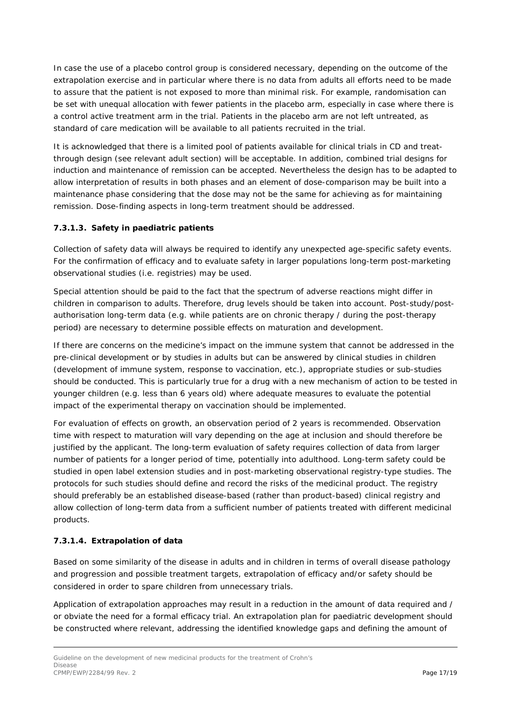In case the use of a placebo control group is considered necessary, depending on the outcome of the extrapolation exercise and in particular where there is no data from adults all efforts need to be made to assure that the patient is not exposed to more than minimal risk. For example, randomisation can be set with unequal allocation with fewer patients in the placebo arm, especially in case where there is a control active treatment arm in the trial. Patients in the placebo arm are not left untreated, as standard of care medication will be available to all patients recruited in the trial.

It is acknowledged that there is a limited pool of patients available for clinical trials in CD and treatthrough design (see relevant adult section) will be acceptable. In addition, combined trial designs for induction and maintenance of remission can be accepted. Nevertheless the design has to be adapted to allow interpretation of results in both phases and an element of dose-comparison may be built into a maintenance phase considering that the dose may not be the same for achieving as for maintaining remission. Dose-finding aspects in long-term treatment should be addressed.

#### *7.3.1.3. Safety in paediatric patients*

Collection of safety data will always be required to identify any unexpected age-specific safety events. For the confirmation of efficacy and to evaluate safety in larger populations long-term post-marketing observational studies (i.e. registries) may be used.

Special attention should be paid to the fact that the spectrum of adverse reactions might differ in children in comparison to adults. Therefore, drug levels should be taken into account. Post-study/postauthorisation long-term data (e.g. while patients are on chronic therapy / during the post-therapy period) are necessary to determine possible effects on maturation and development.

If there are concerns on the medicine's impact on the immune system that cannot be addressed in the pre-clinical development or by studies in adults but can be answered by clinical studies in children (development of immune system, response to vaccination, etc.), appropriate studies or sub-studies should be conducted. This is particularly true for a drug with a new mechanism of action to be tested in younger children (e.g. less than 6 years old) where adequate measures to evaluate the potential impact of the experimental therapy on vaccination should be implemented.

For evaluation of effects on growth, an observation period of 2 years is recommended. Observation time with respect to maturation will vary depending on the age at inclusion and should therefore be justified by the applicant. The long-term evaluation of safety requires collection of data from larger number of patients for a longer period of time, potentially into adulthood. Long-term safety could be studied in open label extension studies and in post-marketing observational registry-type studies. The protocols for such studies should define and record the risks of the medicinal product. The registry should preferably be an established disease-based (rather than product-based) clinical registry and allow collection of long-term data from a sufficient number of patients treated with different medicinal products.

#### *7.3.1.4. Extrapolation of data*

Based on some similarity of the disease in adults and in children in terms of overall disease pathology and progression and possible treatment targets, extrapolation of efficacy and/or safety should be considered in order to spare children from unnecessary trials.

Application of extrapolation approaches may result in a reduction in the amount of data required and / or obviate the need for a formal efficacy trial. An extrapolation plan for paediatric development should be constructed where relevant, addressing the identified knowledge gaps and defining the amount of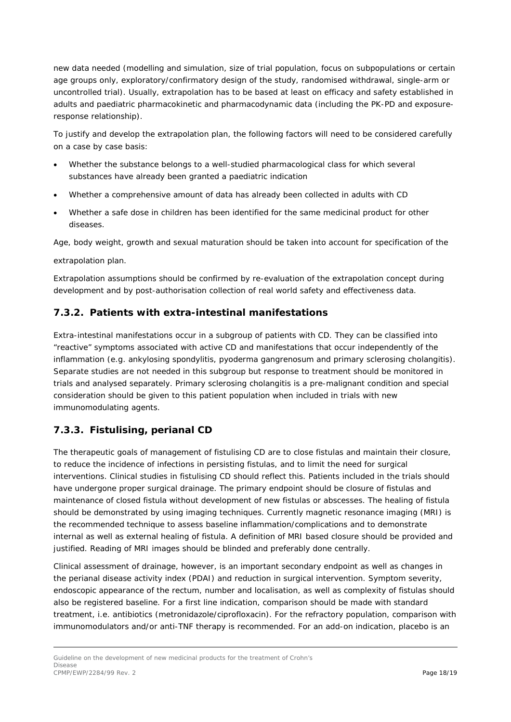new data needed (modelling and simulation, size of trial population, focus on subpopulations or certain age groups only, exploratory/confirmatory design of the study, randomised withdrawal, single-arm or uncontrolled trial). Usually, extrapolation has to be based at least on efficacy and safety established in adults and paediatric pharmacokinetic and pharmacodynamic data (including the PK-PD and exposureresponse relationship).

To justify and develop the extrapolation plan, the following factors will need to be considered carefully on a case by case basis:

- Whether the substance belongs to a well-studied pharmacological class for which several substances have already been granted a paediatric indication
- Whether a comprehensive amount of data has already been collected in adults with CD
- Whether a safe dose in children has been identified for the same medicinal product for other diseases.

Age, body weight, growth and sexual maturation should be taken into account for specification of the

extrapolation plan.

Extrapolation assumptions should be confirmed by re-evaluation of the extrapolation concept during development and by post-authorisation collection of real world safety and effectiveness data.

#### <span id="page-17-0"></span>**7.3.2. Patients with extra-intestinal manifestations**

Extra-intestinal manifestations occur in a subgroup of patients with CD. They can be classified into "reactive" symptoms associated with active CD and manifestations that occur independently of the inflammation (e.g. ankylosing spondylitis, pyoderma gangrenosum and primary sclerosing cholangitis). Separate studies are not needed in this subgroup but response to treatment should be monitored in trials and analysed separately. Primary sclerosing cholangitis is a pre-malignant condition and special consideration should be given to this patient population when included in trials with new immunomodulating agents.

### <span id="page-17-1"></span>**7.3.3. Fistulising, perianal CD**

The therapeutic goals of management of fistulising CD are to close fistulas and maintain their closure, to reduce the incidence of infections in persisting fistulas, and to limit the need for surgical interventions. Clinical studies in fistulising CD should reflect this. Patients included in the trials should have undergone proper surgical drainage. The primary endpoint should be closure of fistulas and maintenance of closed fistula without development of new fistulas or abscesses. The healing of fistula should be demonstrated by using imaging techniques. Currently magnetic resonance imaging (MRI) is the recommended technique to assess baseline inflammation/complications and to demonstrate internal as well as external healing of fistula. A definition of MRI based closure should be provided and justified. Reading of MRI images should be blinded and preferably done centrally.

Clinical assessment of drainage, however, is an important secondary endpoint as well as changes in the perianal disease activity index (PDAI) and reduction in surgical intervention. Symptom severity, endoscopic appearance of the rectum, number and localisation, as well as complexity of fistulas should also be registered baseline. For a first line indication, comparison should be made with standard treatment, i.e. antibiotics (metronidazole/ciprofloxacin). For the refractory population, comparison with immunomodulators and/or anti-TNF therapy is recommended. For an add-on indication, placebo is an